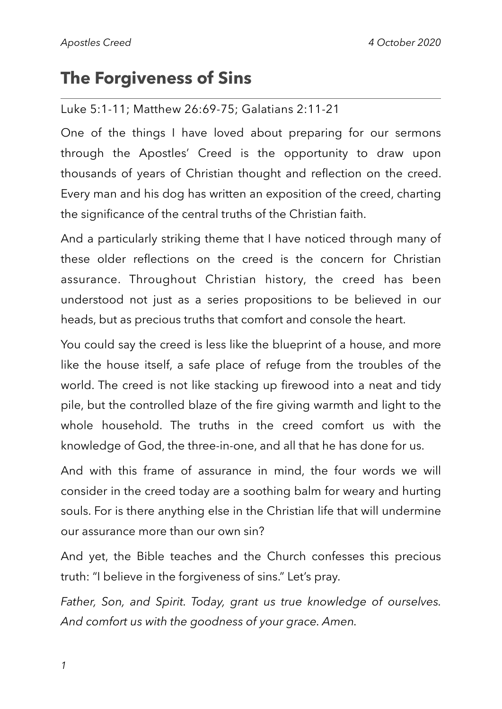# **The Forgiveness of Sins**

#### Luke 5:1-11; Matthew 26:69-75; Galatians 2:11-21

One of the things I have loved about preparing for our sermons through the Apostles' Creed is the opportunity to draw upon thousands of years of Christian thought and reflection on the creed. Every man and his dog has written an exposition of the creed, charting the significance of the central truths of the Christian faith.

And a particularly striking theme that I have noticed through many of these older reflections on the creed is the concern for Christian assurance. Throughout Christian history, the creed has been understood not just as a series propositions to be believed in our heads, but as precious truths that comfort and console the heart.

You could say the creed is less like the blueprint of a house, and more like the house itself, a safe place of refuge from the troubles of the world. The creed is not like stacking up firewood into a neat and tidy pile, but the controlled blaze of the fire giving warmth and light to the whole household. The truths in the creed comfort us with the knowledge of God, the three-in-one, and all that he has done for us.

And with this frame of assurance in mind, the four words we will consider in the creed today are a soothing balm for weary and hurting souls. For is there anything else in the Christian life that will undermine our assurance more than our own sin?

And yet, the Bible teaches and the Church confesses this precious truth: "I believe in the forgiveness of sins." Let's pray.

*Father, Son, and Spirit. Today, grant us true knowledge of ourselves. And comfort us with the goodness of your grace. Amen.*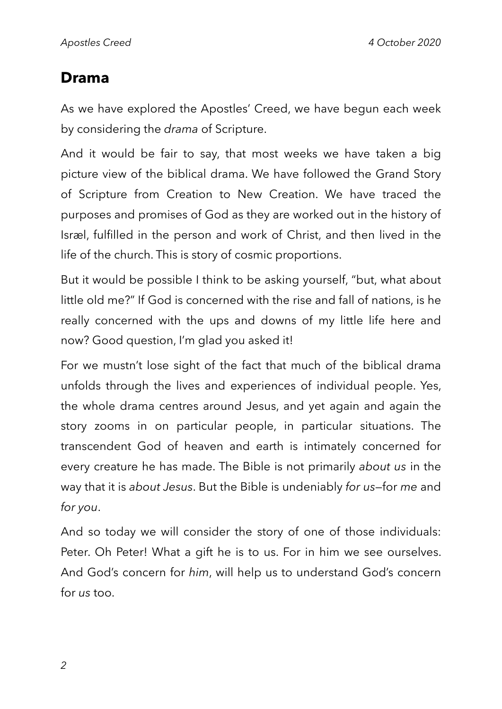## **Drama**

As we have explored the Apostles' Creed, we have begun each week by considering the *drama* of Scripture.

And it would be fair to say, that most weeks we have taken a big picture view of the biblical drama. We have followed the Grand Story of Scripture from Creation to New Creation. We have traced the purposes and promises of God as they are worked out in the history of Isræl, fulfilled in the person and work of Christ, and then lived in the life of the church. This is story of cosmic proportions.

But it would be possible I think to be asking yourself, "but, what about little old me?" If God is concerned with the rise and fall of nations, is he really concerned with the ups and downs of my little life here and now? Good question, I'm glad you asked it!

For we mustn't lose sight of the fact that much of the biblical drama unfolds through the lives and experiences of individual people. Yes, the whole drama centres around Jesus, and yet again and again the story zooms in on particular people, in particular situations. The transcendent God of heaven and earth is intimately concerned for every creature he has made. The Bible is not primarily *about us* in the way that it is *about Jesus*. But the Bible is undeniably *for us—*for *me* and *for you*.

And so today we will consider the story of one of those individuals: Peter. Oh Peter! What a gift he is to us. For in him we see ourselves. And God's concern for *him*, will help us to understand God's concern for *us* too.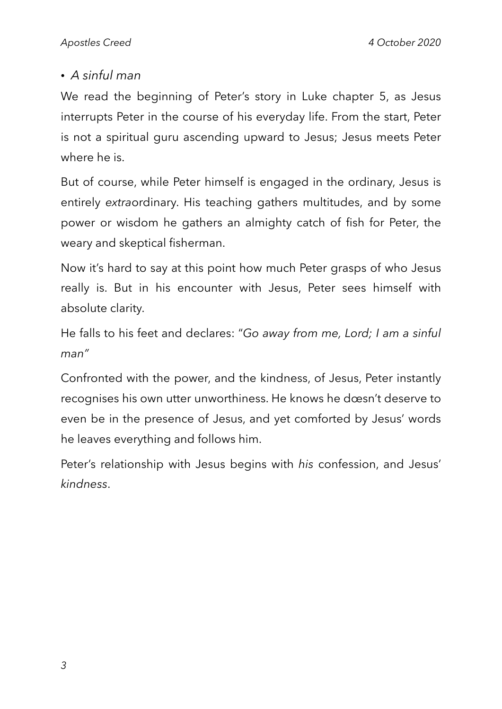### *• A sinful man*

We read the beginning of Peter's story in Luke chapter 5, as Jesus interrupts Peter in the course of his everyday life. From the start, Peter is not a spiritual guru ascending upward to Jesus; Jesus meets Peter where he is.

But of course, while Peter himself is engaged in the ordinary, Jesus is entirely *extra*ordinary. His teaching gathers multitudes, and by some power or wisdom he gathers an almighty catch of fish for Peter, the weary and skeptical fisherman.

Now it's hard to say at this point how much Peter grasps of who Jesus really is. But in his encounter with Jesus, Peter sees himself with absolute clarity.

He falls to his feet and declares: "*Go away from me, Lord; I am a sinful man"*

Confronted with the power, and the kindness, of Jesus, Peter instantly recognises his own utter unworthiness. He knows he dœsn't deserve to even be in the presence of Jesus, and yet comforted by Jesus' words he leaves everything and follows him.

Peter's relationship with Jesus begins with *his* confession, and Jesus' *kindness*.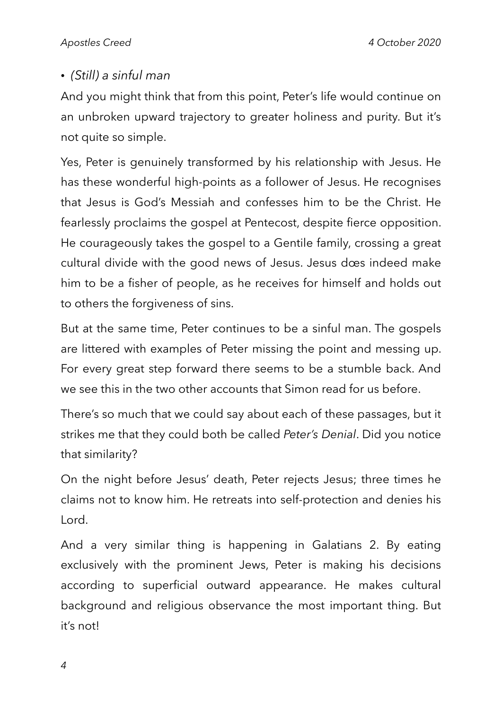## *• (Still) a sinful man*

And you might think that from this point, Peter's life would continue on an unbroken upward trajectory to greater holiness and purity. But it's not quite so simple.

Yes, Peter is genuinely transformed by his relationship with Jesus. He has these wonderful high-points as a follower of Jesus. He recognises that Jesus is God's Messiah and confesses him to be the Christ. He fearlessly proclaims the gospel at Pentecost, despite fierce opposition. He courageously takes the gospel to a Gentile family, crossing a great cultural divide with the good news of Jesus. Jesus dœs indeed make him to be a fisher of people, as he receives for himself and holds out to others the forgiveness of sins.

But at the same time, Peter continues to be a sinful man. The gospels are littered with examples of Peter missing the point and messing up. For every great step forward there seems to be a stumble back. And we see this in the two other accounts that Simon read for us before.

There's so much that we could say about each of these passages, but it strikes me that they could both be called *Peter's Denial*. Did you notice that similarity?

On the night before Jesus' death, Peter rejects Jesus; three times he claims not to know him. He retreats into self-protection and denies his Lord.

And a very similar thing is happening in Galatians 2. By eating exclusively with the prominent Jews, Peter is making his decisions according to superficial outward appearance. He makes cultural background and religious observance the most important thing. But it's not!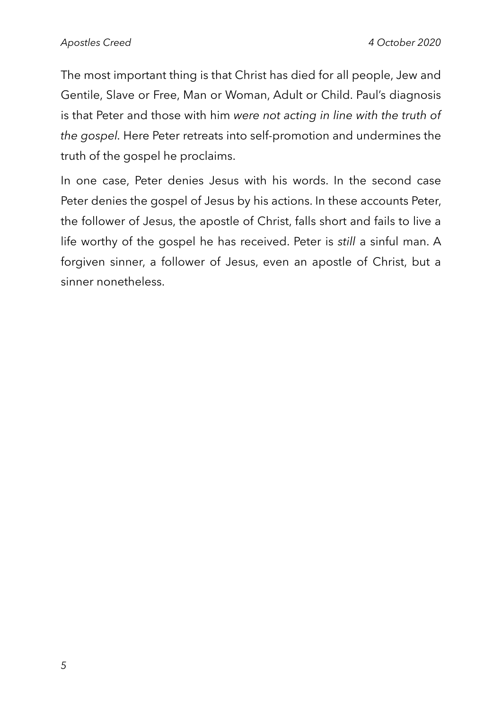The most important thing is that Christ has died for all people, Jew and Gentile, Slave or Free, Man or Woman, Adult or Child. Paul's diagnosis is that Peter and those with him *were not acting in line with the truth of the gospel.* Here Peter retreats into self-promotion and undermines the truth of the gospel he proclaims.

In one case, Peter denies Jesus with his words. In the second case Peter denies the gospel of Jesus by his actions. In these accounts Peter, the follower of Jesus, the apostle of Christ, falls short and fails to live a life worthy of the gospel he has received. Peter is *still* a sinful man. A forgiven sinner, a follower of Jesus, even an apostle of Christ, but a sinner nonetheless.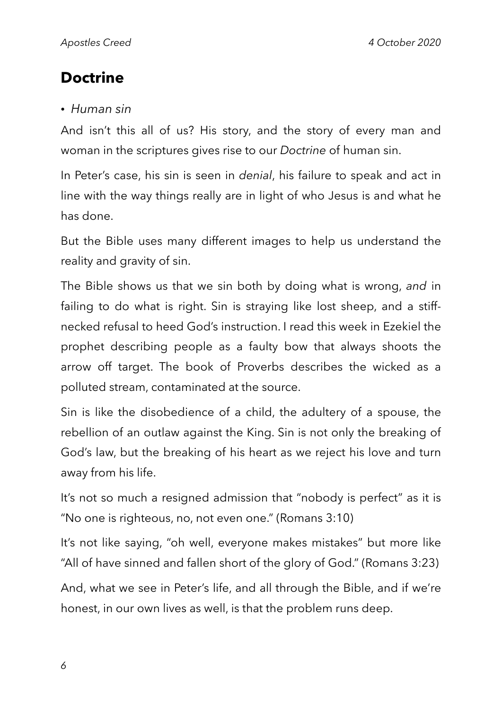# **Doctrine**

#### *• Human sin*

And isn't this all of us? His story, and the story of every man and woman in the scriptures gives rise to our *Doctrine* of human sin.

In Peter's case, his sin is seen in *denial*, his failure to speak and act in line with the way things really are in light of who Jesus is and what he has done.

But the Bible uses many different images to help us understand the reality and gravity of sin.

The Bible shows us that we sin both by doing what is wrong, *and* in failing to do what is right. Sin is straying like lost sheep, and a stiffnecked refusal to heed God's instruction. I read this week in Ezekiel the prophet describing people as a faulty bow that always shoots the arrow off target. The book of Proverbs describes the wicked as a polluted stream, contaminated at the source.

Sin is like the disobedience of a child, the adultery of a spouse, the rebellion of an outlaw against the King. Sin is not only the breaking of God's law, but the breaking of his heart as we reject his love and turn away from his life.

It's not so much a resigned admission that "nobody is perfect" as it is "No one is righteous, no, not even one." (Romans 3:10)

It's not like saying, "oh well, everyone makes mistakes" but more like "All of have sinned and fallen short of the glory of God." (Romans 3:23)

And, what we see in Peter's life, and all through the Bible, and if we're honest, in our own lives as well, is that the problem runs deep.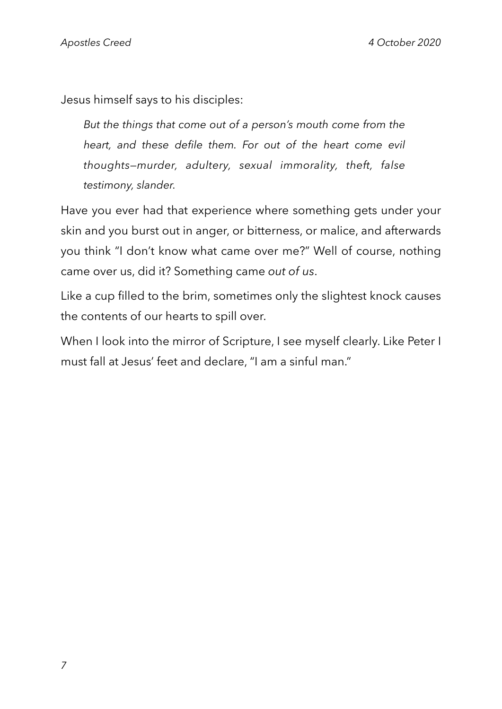Jesus himself says to his disciples:

*But the things that come out of a person's mouth come from the heart, and these defile them. For out of the heart come evil thoughts—murder, adultery, sexual immorality, theft, false testimony, slander.*

Have you ever had that experience where something gets under your skin and you burst out in anger, or bitterness, or malice, and afterwards you think "I don't know what came over me?" Well of course, nothing came over us, did it? Something came *out of us*.

Like a cup filled to the brim, sometimes only the slightest knock causes the contents of our hearts to spill over*.*

When I look into the mirror of Scripture, I see myself clearly. Like Peter I must fall at Jesus' feet and declare, "I am a sinful man."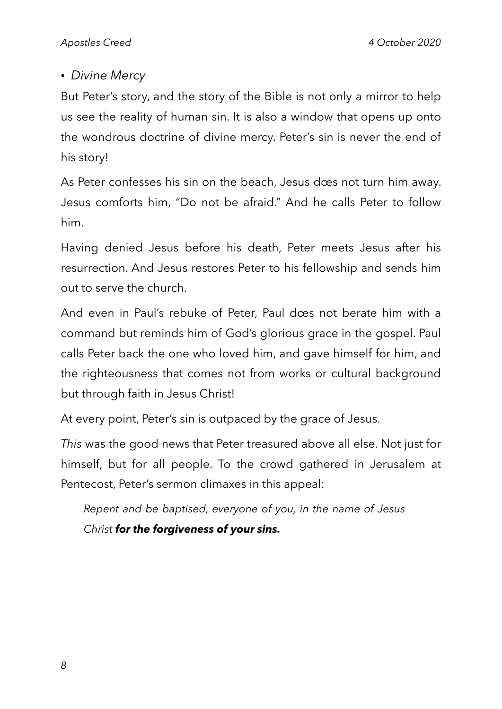## *• Divine Mercy*

But Peter's story, and the story of the Bible is not only a mirror to help us see the reality of human sin. It is also a window that opens up onto the wondrous doctrine of divine mercy. Peter's sin is never the end of his story!

As Peter confesses his sin on the beach, Jesus dœs not turn him away. Jesus comforts him, "Do not be afraid." And he calls Peter to follow him.

Having denied Jesus before his death, Peter meets Jesus after his resurrection. And Jesus restores Peter to his fellowship and sends him out to serve the church.

And even in Paul's rebuke of Peter, Paul dœs not berate him with a command but reminds him of God's glorious grace in the gospel. Paul calls Peter back the one who loved him, and gave himself for him, and the righteousness that comes not from works or cultural background but through faith in Jesus Christ!

At every point, Peter's sin is outpaced by the grace of Jesus.

*This* was the good news that Peter treasured above all else. Not just for himself, but for all people. To the crowd gathered in Jerusalem at Pentecost, Peter's sermon climaxes in this appeal:

*Repent and be baptised, everyone of you, in the name of Jesus Christ for the forgiveness of your sins.*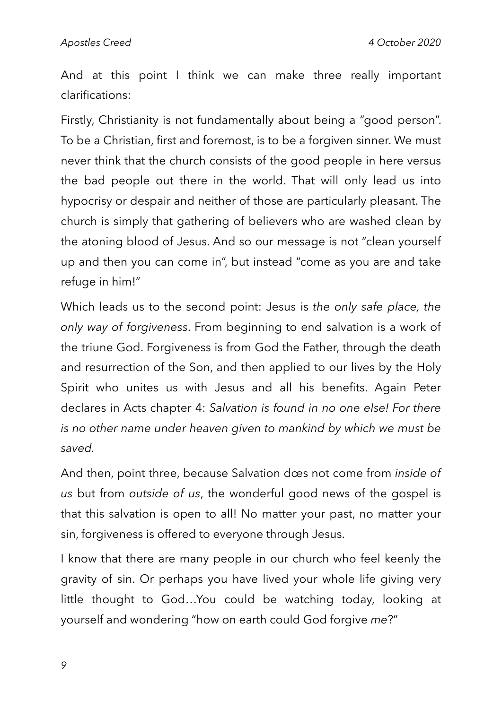And at this point I think we can make three really important clarifications:

Firstly, Christianity is not fundamentally about being a "good person". To be a Christian, first and foremost, is to be a forgiven sinner. We must never think that the church consists of the good people in here versus the bad people out there in the world. That will only lead us into hypocrisy or despair and neither of those are particularly pleasant. The church is simply that gathering of believers who are washed clean by the atoning blood of Jesus. And so our message is not "clean yourself up and then you can come in", but instead "come as you are and take refuge in him!"

Which leads us to the second point: Jesus is *the only safe place, the only way of forgiveness*. From beginning to end salvation is a work of the triune God. Forgiveness is from God the Father, through the death and resurrection of the Son, and then applied to our lives by the Holy Spirit who unites us with Jesus and all his benefits. Again Peter declares in Acts chapter 4: *Salvation is found in no one else! For there is no other name under heaven given to mankind by which we must be saved.* 

And then, point three, because Salvation dœs not come from *inside of us* but from *outside of us*, the wonderful good news of the gospel is that this salvation is open to all! No matter your past, no matter your sin, forgiveness is offered to everyone through Jesus.

I know that there are many people in our church who feel keenly the gravity of sin. Or perhaps you have lived your whole life giving very little thought to God…You could be watching today, looking at yourself and wondering "how on earth could God forgive *me*?"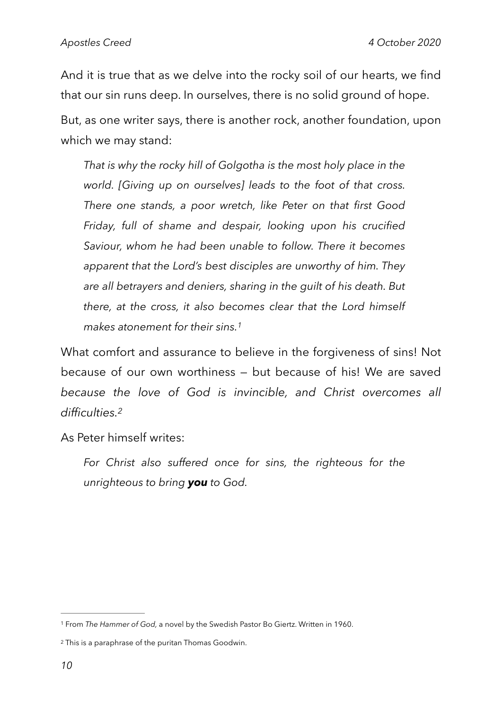And it is true that as we delve into the rocky soil of our hearts, we find that our sin runs deep. In ourselves, there is no solid ground of hope.

But, as one writer says, there is another rock, another foundation, upon which we may stand:

*That is why the rocky hill of Golgotha is the most holy place in the world. [Giving up on ourselves] leads to the foot of that cross. There one stands, a poor wretch, like Peter on that first Good Friday, full of shame and despair, looking upon his crucified Saviour, whom he had been unable to follow. There it becomes apparent that the Lord's best disciples are unworthy of him. They are all betrayers and deniers, sharing in the guilt of his death. But there, at the cross, it also becomes clear that the Lord himself makes atonement for their sins.[1](#page-9-0)*

<span id="page-9-2"></span>What comfort and assurance to believe in the forgiveness of sins! Not because of our own worthiness — but because of his! We are saved *because the love of God is invincible, and Christ overcomes all difficulties.[2](#page-9-1)*

As Peter himself writes:

<span id="page-9-3"></span>*For Christ also suffered once for sins, the righteous for the unrighteous to bring you to God.* 

<span id="page-9-0"></span>From *The Hammer of God,* a novel by the Swedish Pastor Bo Giertz. Written in 1960. [1](#page-9-2)

<span id="page-9-1"></span><sup>&</sup>lt;sup>[2](#page-9-3)</sup> This is a paraphrase of the puritan Thomas Goodwin.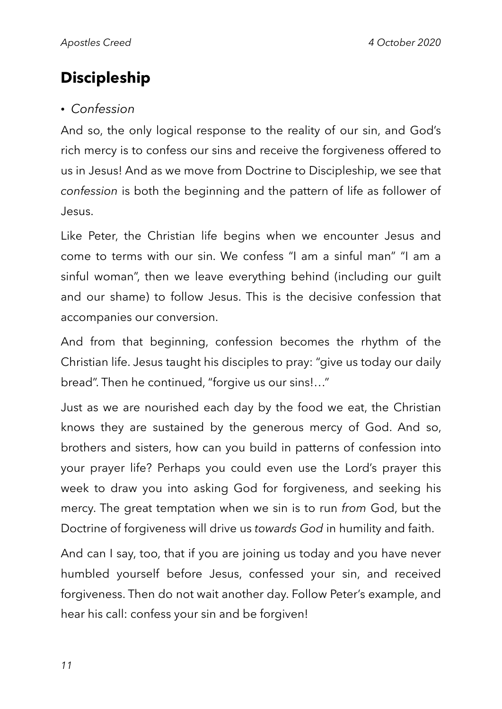# **Discipleship**

#### *• Confession*

And so, the only logical response to the reality of our sin, and God's rich mercy is to confess our sins and receive the forgiveness offered to us in Jesus! And as we move from Doctrine to Discipleship, we see that *confession* is both the beginning and the pattern of life as follower of Jesus.

Like Peter, the Christian life begins when we encounter Jesus and come to terms with our sin. We confess "I am a sinful man" "I am a sinful woman", then we leave everything behind (including our guilt and our shame) to follow Jesus. This is the decisive confession that accompanies our conversion.

And from that beginning, confession becomes the rhythm of the Christian life. Jesus taught his disciples to pray: "give us today our daily bread". Then he continued, "forgive us our sins!…"

Just as we are nourished each day by the food we eat, the Christian knows they are sustained by the generous mercy of God. And so, brothers and sisters, how can you build in patterns of confession into your prayer life? Perhaps you could even use the Lord's prayer this week to draw you into asking God for forgiveness, and seeking his mercy. The great temptation when we sin is to run *from* God, but the Doctrine of forgiveness will drive us *towards God* in humility and faith.

And can I say, too, that if you are joining us today and you have never humbled yourself before Jesus, confessed your sin, and received forgiveness. Then do not wait another day. Follow Peter's example, and hear his call: confess your sin and be forgiven!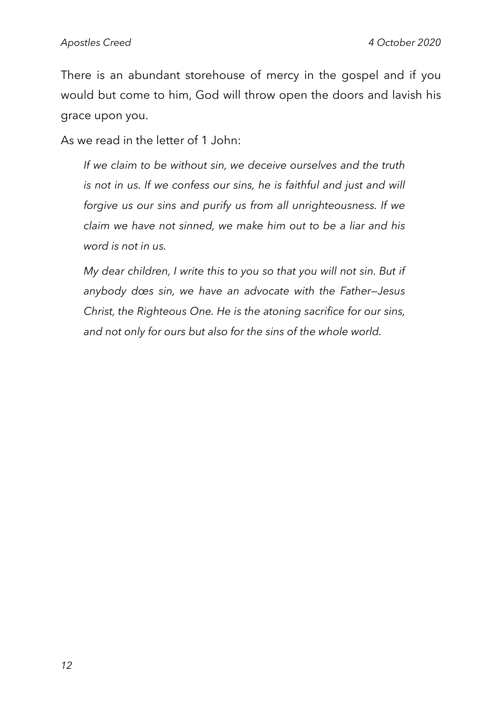There is an abundant storehouse of mercy in the gospel and if you would but come to him, God will throw open the doors and lavish his grace upon you.

As we read in the letter of 1 John:

 *If we claim to be without sin, we deceive ourselves and the truth is not in us. If we confess our sins, he is faithful and just and will forgive us our sins and purify us from all unrighteousness. If we claim we have not sinned, we make him out to be a liar and his word is not in us.* 

 *My dear children, I write this to you so that you will not sin. But if anybody dœs sin, we have an advocate with the Father—Jesus Christ, the Righteous One. He is the atoning sacrifice for our sins, and not only for ours but also for the sins of the whole world.*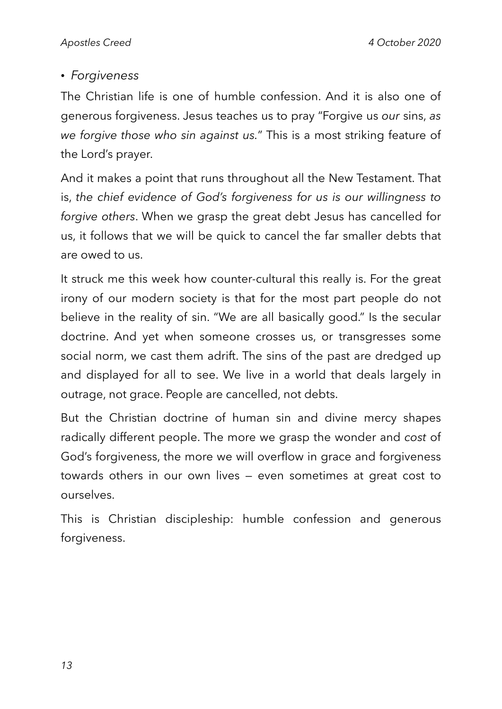#### *• Forgiveness*

The Christian life is one of humble confession. And it is also one of generous forgiveness. Jesus teaches us to pray "Forgive us *our* sins, *as we forgive those who sin against us.*" This is a most striking feature of the Lord's prayer.

And it makes a point that runs throughout all the New Testament. That is, *the chief evidence of God's forgiveness for us is our willingness to forgive others*. When we grasp the great debt Jesus has cancelled for us, it follows that we will be quick to cancel the far smaller debts that are owed to us.

It struck me this week how counter-cultural this really is. For the great irony of our modern society is that for the most part people do not believe in the reality of sin. "We are all basically good." Is the secular doctrine. And yet when someone crosses us, or transgresses some social norm, we cast them adrift. The sins of the past are dredged up and displayed for all to see. We live in a world that deals largely in outrage, not grace. People are cancelled, not debts.

But the Christian doctrine of human sin and divine mercy shapes radically different people. The more we grasp the wonder and *cost* of God's forgiveness, the more we will overflow in grace and forgiveness towards others in our own lives — even sometimes at great cost to ourselves.

This is Christian discipleship: humble confession and generous forgiveness.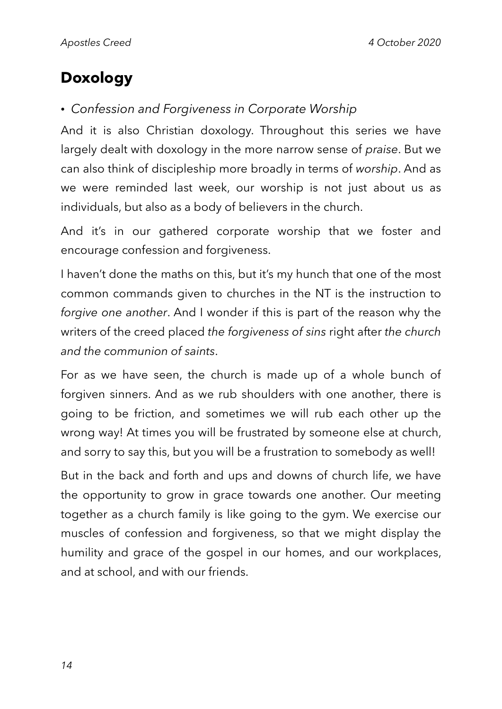# **Doxology**

## *• Confession and Forgiveness in Corporate Worship*

And it is also Christian doxology. Throughout this series we have largely dealt with doxology in the more narrow sense of *praise*. But we can also think of discipleship more broadly in terms of *worship*. And as we were reminded last week, our worship is not just about us as individuals, but also as a body of believers in the church.

And it's in our gathered corporate worship that we foster and encourage confession and forgiveness.

I haven't done the maths on this, but it's my hunch that one of the most common commands given to churches in the NT is the instruction to *forgive one another*. And I wonder if this is part of the reason why the writers of the creed placed *the forgiveness of sins* right after *the church and the communion of saints*.

For as we have seen, the church is made up of a whole bunch of forgiven sinners. And as we rub shoulders with one another, there is going to be friction, and sometimes we will rub each other up the wrong way! At times you will be frustrated by someone else at church, and sorry to say this, but you will be a frustration to somebody as well!

But in the back and forth and ups and downs of church life, we have the opportunity to grow in grace towards one another. Our meeting together as a church family is like going to the gym. We exercise our muscles of confession and forgiveness, so that we might display the humility and grace of the gospel in our homes, and our workplaces, and at school, and with our friends.